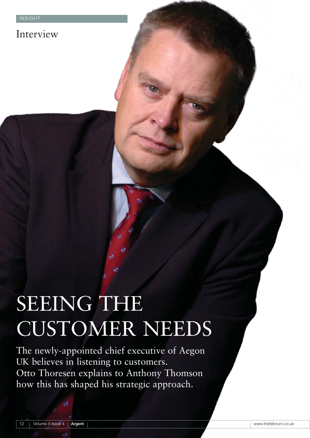## Interview

# SEEING THE CUSTOMER NEEDS

The newly-appointed chief executive of Aegon UK believes in listening to customers. Otto Thoresen explains to Anthony Thomson how this has shaped his strategic approach.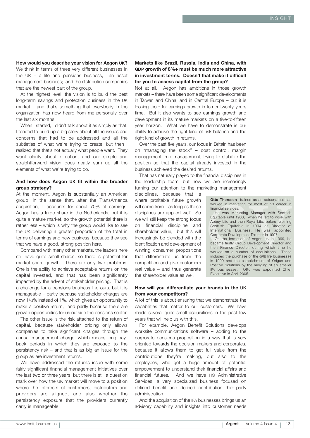**How would you describe your vision for Aegon UK?** We think in terms of three very different businesses in the UK – a life and pensions business; an asset management business; and the distribution companies that are the newest part of the group.

At the highest level, the vision is to build the best long-term savings and protection business in the UK market – and that's something that everybody in the organization has now heard from me personally over the last six months.

When I started, I didn't talk about it as simply as that. I tended to build up a big story about all the issues and concerns that had to be addressed and all the subtleties of what we're trying to create, but then I realized that that's not actually what people want. They want clarity about direction, and our simple and straightforward vision does neatly sum up all the elements of what we're trying to do.

#### **And how does Aegon UK fit within the broader group strategy?**

At the moment, Aegon is substantially an American group, in the sense that, after the TransAmerica acquisition, it accounts for about 70% of earnings. Aegon has a large share in the Netherlands, but it is quite a mature market, so the growth potential there is rather less – which is why the group would like to see the UK delivering a greater proportion of the total in terms of earnings and new business, because they see that we have a good, strong position here.

Compared with many other markets, the leaders here still have quite small shares, so there is potential for market share growth. There are only two problems. One is the ability to achieve acceptable returns on the capital invested, and that has been significantly impacted by the advent of stakeholder pricing. That is a challenge for a pensions business like ours, but it is manageable – partly because stakeholder charges are now 11/2% instead of 1%, which gives an opportunity to make a positive return; and partly because there are growth opportunities for us outside the pensions sector.

The other issue is the risk attached to the return of capital, because stakeholder pricing only allows companies to take significant charges through the annual management charge, which means long payback periods in which they are exposed to the persistency risk – and that is as big an issue for the group as are investment returns.

We have addressed the returns issue with some fairly significant financial management initiatives over the last two or three years, but there is still a question mark over how the UK market will move to a position where the interests of customers, distributors and providers are aligned, and also whether the persistency exposure that the providers currently carry is manageable.

#### **Markets like Brazil, Russia, India and China, with GDP growth of 8%+ must be much more attractive in investment terms. Doesn't that make it difficult for you to access capital from the group?**

Not at all. Aegon has ambitions in those growth markets – there have been some significant developments in Taiwan and China, and in Central Europe – but it is looking there for earnings growth in ten or twenty years time. But it also wants to see earnings growth and development in its mature markets on a five-to-fifteen year horizon. What we have to demonstrate is our ability to achieve the right kind of risk balance and the right kind of growth in returns.

Over the past five years, our focus in Britain has been on "managing the stock" – cost control, margin management, mix management, trying to stabilize the position so that the capital already invested in the business achieved the desired returns.

That has naturally played to the financial disciplines in the leadership team, but now we are increasingly turning our attention to the marketing management

disciplines, because that is where profitable future growth will come from – as long as those disciplines are applied well! So we will still keep the strong focus on financial discipline and shareholder value; but this will increasingly be blended with the identification and development of winning consumer propositions that differentiate us from the competition and give customers real value – and thus generate the shareholder value as well.

**Otto Thoresen** trained as an actuary, but has worked in marketing for most of his career in financial services.

He was Marketing Manager with Scottish Equitable until 1988, when he left to work with Abbey Life and then Royal Life, before rejoining Scottish Equitable in 1994 as Director of International Business. He was appointed Corporate Development Director in 1997.

On the formation of Aegon UK in 1999, he became firstly Group Development Director and then Finance Director, during which time he worked on a number of acquisitions. These included the purchase of the GRE life businesses in 1999 and the establishment of Origen and Positive Solutions by the merging of six smaller<br>IFA businesses. Otto was appointed Chief Otto was appointed Chief Executive in April 2005.

#### **How will you differentiate your brands in the UK from your competitors?**

A lot of this is about ensuring that we demonstrate the capabilities that matter to our customers. We have made several quite small acquisitions in the past few years that will help us with this.

For example, Aegon Benefit Solutions develops worksite communications software – adding to the corporate pensions proposition in a way that is very oriented towards the decision-makers and corporates, because it allows them to get full value from the contributions they're making, but also to the employees, who get a huge amount of potential empowerment to understand their financial affairs and financial futures. And we have HS Administrative Services, a very specialized business focused on defined benefit and defined contribution third-party administration.

And the acquisition of the IFA businesses brings us an advisory capability and insights into customer needs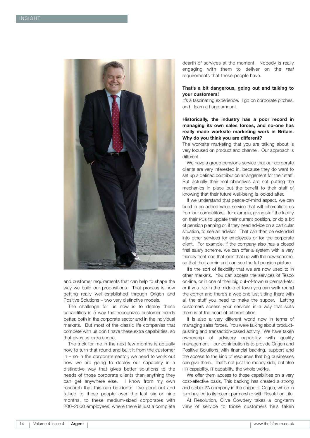

and customer requirements that can help to shape the way we build our propositions. That process is now getting really well-established through Origen and Positive Solutions – two very distinctive models.

The challenge for us now is to deploy these capabilities in a way that recognizes customer needs better, both in the corporate sector and in the individual markets. But most of the classic life companies that compete with us don't have these extra capabilities, so that gives us extra scope.

The trick for me in the next few months is actually now to turn that round and built it from the customer in – so in the corporate sector, we need to work out how we are going to deploy our capability in a distinctive way that gives better solutions to the needs of those corporate clients than anything they can get anywhere else. I know from my own research that this can be done: I've gone out and talked to these people over the last six or nine months, to these medium-sized corporates with 200–2000 employees, where there is just a complete dearth of services at the moment. Nobody is really engaging with them to deliver on the *real* requirements that these people have.

#### **That's a bit dangerous, going out and talking to your customers!**

It's a fascinating experience. I go on corporate pitches, and I learn a huge amount.

#### **Historically, the industry has a poor record in managing its own sales forces, and no-one has really made worksite marketing work in Britain. Why do you think you are different?**

The worksite marketing that you are talking about is very focused on product and channel. Our approach is different.

We have a group pensions service that our corporate clients are very interested in, because they do want to set up a defined contribution arrangement for their staff. But actually their real objectives are not putting the mechanics in place but the benefit to their staff of knowing that their future well-being is looked after.

If we understand that peace-of-mind aspect, we can build in an added-value service that will differentiate us from our competitors – for example, giving staff the facility on their PCs to update their current position, or do a bit of pension planning or, if they need advice on a particular situation, to see an advisor. That can then be extended into other services for employees or for the corporate client. For example, if the company also has a closed final salary scheme, we can offer a system with a very friendly front-end that joins that up with the new scheme, so that their admin unit can see the full pension picture.

It's the sort of flexibility that we are now used to in other markets. You can access the services of Tesco on-line, or in one of their big out-of-town supermarkets, or if you live in the middle of town you can walk round the corner and there's a wee one just sitting there with all the stuff you need to make the supper. Letting customers access your services in a way that suits them is at the heart of differentiation.

It is also a very different world now in terms of managing sales forces. You were talking about productpushing and transaction-based activity. We have taken ownership of advisory capability with quality management – our contribution is to provide Origen and Positive Solutions with financial backing, support and the access to the kind of resources that big businesses can give them. That's not just the money side, but also HR capability, IT capability, the whole works.

We offer them access to those capabilities on a very cost-effective basis, This backing has created a strong and stable IFA company in the shape of Origen, which in turn has led to its recent partnership with Resolution Life.

At Resolution, Clive Cowdery takes a long-term view of service to those customers he's taken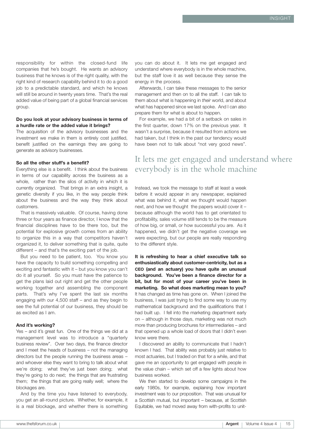responsibility for within the closed-fund life companies that he's bought. He wants an advisory business that he knows is of the right quality, with the right kind of research capability behind it to do a good job to a predictable standard, and which he knows will still be around in twenty years time. That's the real added value of being part of a global financial services group.

#### **Do you look at your advisory business in terms of a hurdle rate or the added value it brings?**

The acquisition of the advisory businesses and the investment we make in them is entirely cost justified, benefit justified on the earnings they are going to generate as advisory businesses.

#### **So all the other stuff's a benefit?**

Everything else is a benefit. I think about the business in terms of our capability across the business as a whole, rather than the silos of activity in which it is currently organized. That brings in an extra insight, a genetic diversity if you like, in the way people think about the business and the way they think about customers.

That is massively valuable. Of course, having done three or four years as finance director, I know that the financial disciplines have to be there too, but the potential for explosive growth comes from an ability to organize this in a way that competitors haven't organized it, to deliver something that is quite, quite different – and that's the exciting part of the job.

But you need to be patient, too. You know you have the capacity to build something compelling and exciting and fantastic with it – but you know you can't do it all yourself. So you must have the patience to get the plans laid out right and get the other people working together and assembling the component parts. That's why I've spent the last six months engaging with our 4,500 staff – and as they begin to see the full potential of our business, they should be as excited as I am.

#### **And it's working?**

Yes – and it's great fun. One of the things we did at a management level was to introduce a "quarterly business review". Over two days, the finance director and I meet the heads of business – not the managing directors but the people running the business areas – and whoever else they want to bring to talk about what we're doing; what they've just been doing; what they're going to do next; the things that are frustrating them; the things that are going really well; where the blockages are.

And by the time you have listened to everybody, you get an all-round picture. Whether, for example, it is a real blockage, and whether there is something you can do about it. It lets me get engaged and understand where everybody is in the whole machine, but the staff love it as well because they sense the energy in the process.

Afterwards, I can take these messages to the senior management and then on to all the staff. I can talk to them about what is happening in *their* world, and about what has happened since we last spoke. And I can also prepare them for what is about to happen.

For example, we had a bit of a setback on sales in the first quarter, down 17% on the previous year. It wasn't a surprise, because it resulted from actions we had taken, but I think in the past our tendency would have been not to talk about "not very good news".

## It lets me get engaged and understand where everybody is in the whole machine

Instead, we took the message to staff at least a week before it would appear in any newspaper, explained what was behind it, what we thought would happen next, and how we thought the papers would cover it – because although the world has to get orientated to profitability, sales volume still tends to be the measure of how big, or small, or how successful you are. As it happened, we didn't get the negative coverage we were expecting, but our people are really responding to the different style.

**It is refreshing to hear a chief executive talk so enthusiastically about customer-centricity, but as a CEO (and an actuary) you have quite an unusual background. You've been a finance director for a bit, but for most of your career you've been in marketing. So what does marketing mean to you?** It has changed as time has gone on. When I joined the business, I was just trying to find some way to use my mathematical background and the qualifications that I had built up. I fell into the marketing department early on – although in those days, marketing was not much more than producing brochures for intermediaries – and that opened up a whole load of doors that I didn't even know were there.

I discovered an ability to communicate that I hadn't known I had. That ability was probably just relative to most actuaries, but I traded on that for a while, and that gave me an opportunity to get engaged with people in the value chain – which set off a few lights about how business worked.

We then started to develop some campaigns in the early 1980s, for example, explaining how important investment was to our proposition. That was unusual for a Scottish mutual, but important – because, at Scottish Equitable, we had moved away from with-profits to unit-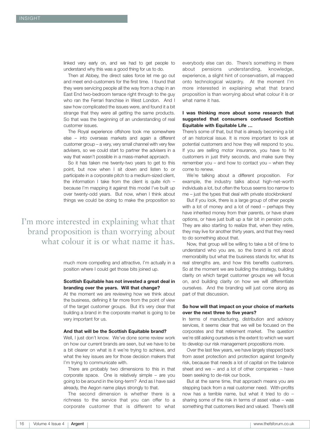linked very early on, and we had to get people to understand why this was a good thing for us to do.

Then at Abbey, the direct sales force let me go out and meet end-customers for the first time. I found that they were servicing people all the way from a chap in an East End two-bedroom terrace right through to the guy who ran the Ferrari franchise in West London. And I saw how complicated the issues were, and found it a bit strange that they were all getting the same products. So that was the beginning of an understanding of real customer issues.

The Royal experience offshore took me somewhere else – into overseas markets and again a different customer group – a very, very small channel with very few advisers, so we could start to partner the advisers in a way that wasn't possible in a mass-market approach.

So it has taken me twenty-two years to get to this point, but now when I sit down and listen to or participate in a corporate pitch to a medium-sized client, the information I take from the client is quite rich – because I'm mapping it against this model I've built up over twenty-odd years. But now, when I think about things we could be doing to make the proposition so

I'm more interested in explaining what that brand proposition is than worrying about what colour it is or what name it has.

> much more compelling and attractive, I'm actually in a position where I could get those bits joined up.

#### **Scottish Equitable has not invested a great deal in branding over the years. Will that change?**

At the moment we are reviewing how we think about the business, defining it far more from the point of view of the target customer groups. But it's very clear that building a brand in the corporate market is going to be very important for us.

#### **And that will be the Scottish Equitable brand?**

Well, I just don't know. We've done some review work on how our current brands are seen, but we have to be a bit clearer on what is it we're trying to achieve, and what the key issues are for those decision makers that I'm trying to communicate with.

There are probably two dimensions to this in that corporate space. One is relatively simple – are you going to be around in the long-term? And as I have said already, the Aegon name plays strongly to that.

The second dimension is whether there is a richness to the service that you can offer to a corporate customer that is different to what

everybody else can do. There's something in there about pensions understanding, knowledge, experience, a slight hint of conservatism, all mapped onto technological wizardry. At the moment I'm more interested in explaining what that brand proposition is than worrying about what colour it is or what name it has.

#### **I was thinking more about some research that suggested that consumers confused Scottish Equitable with Equitable Life …**

There's some of that, but that is already becoming a bit of an historical issue. It is more important to look at potential customers and how they will respond to you. If you are selling motor insurance, you have to hit customers in just thirty seconds, and make sure they remember you – and how to contact you – when they come to renew.

We're talking about a different proposition. For example, the industry talks about high-net-worth individuals a lot, but often the focus seems too narrow to me – just the types that deal with private stockbrokers!

But if you look, there is a large group of other people with a lot of money and a lot of need – perhaps they have inherited money from their parents, or have share options, or have just built up a fair bit in pension pots. They are also starting to realize that, when they retire, they may live for another thirty years, and that they need to do something about that.

Now, that group will be willing to take a bit of time to understand who you are, so the brand is not about memorability but what the business stands for, what its real strengths are, and how this benefits customers. So at the moment we are building the strategy, building clarity on which target customer groups we will focus on, and building clarity on how we will differentiate ourselves. And the branding will just come along as part of that discussion.

#### **So how will that impact on your choice of markets over the next three to five years?**

In terms of manufacturing, distribution and advisory services, it seems clear that we will be focused on the corporates and that retirement market. The question we're still asking ourselves is the extent to which we want to develop our risk management propositions more.

Over the last few years, we have largely stepped back from asset protection and protection against longevity risk, because that needs a lot of capital on the balance sheet and we – and a lot of other companies – have been seeking to de-risk our book.

But at the same time, that approach means you are stepping back from a real customer need. With-profits now has a terrible name, but what it tried to do – sharing some of the risk in terms of asset value – was something that customers liked and valued. There's still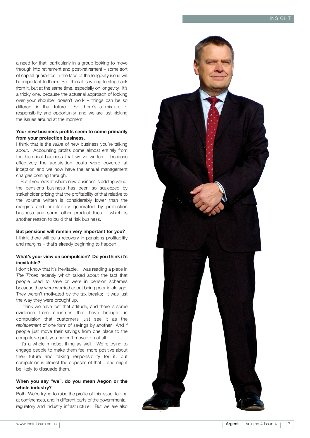a need for that, particularly in a group looking to move through into retirement and post-retirement – some sort of capital guarantee in the face of the longevity issue will be important to them. So I think it is wrong to step back from it, but at the same time, especially on longevity, it's a tricky one, because the actuarial approach of looking over your shoulder doesn't work – things can be so different in that future. So there's a mixture of responsibility and opportunity, and we are just kicking the issues around at the moment.

#### **Your new business profits seem to come primarily from your protection business.**

I think that is the *value* of new business you're talking about. Accounting profits come almost entirely from the historical business that we've written – because effectively the acquisition costs were covered at inception and we now have the annual management charges coming through.

But if you look at where new business is adding value, the pensions business has been so squeezed by stakeholder pricing that the profitability of that relative to the volume written is considerably lower than the margins and profitability generated by protection business and some other product lines – which is another reason to build that risk business.

#### **But pensions will remain very important for you?**

I think there will be a recovery in pensions profitability and margins – that's already beginning to happen.

#### **What's your view on compulsion? Do you think it's inevitable?**

I don't know that it's inevitable. I was reading a piece in *The Times* recently which talked about the fact that people used to save or were in pension schemes because they were worried about being poor in old age. They weren't motivated by the tax breaks; it was just the way they were brought up.

I think we have lost that attitude, and there is some evidence from countries that have brought in compulsion that customers just see it as the *replacement* of one form of savings by another. And if people just move their savings from one place to the compulsive pot, you haven't moved on at all.

It's a whole mindset thing as well. We're trying to engage people to make them feel more positive about their future and taking responsibility for it, but compulsion is almost the opposite of that – and might be likely to dissuade them.

#### **When you say "we", do you mean Aegon or the whole industry?**

Both. We're trying to raise the profile of this issue, talking at conferences, and in different parts of the governmental, regulatory and industry infrastructure. But we are also